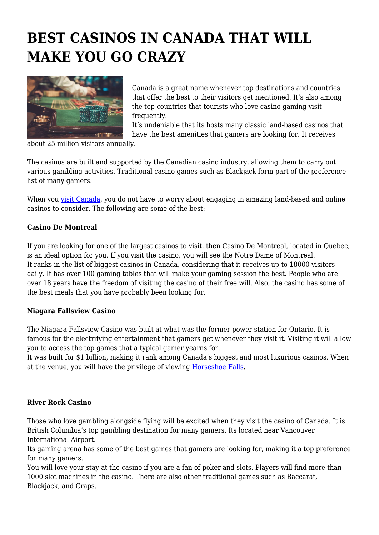# **BEST CASINOS IN CANADA THAT WILL MAKE YOU GO CRAZY**



Canada is a great name whenever top destinations and countries that offer the best to their visitors get mentioned. It's also among the top countries that tourists who love casino gaming visit frequently.

It's undeniable that its hosts many classic land-based casinos that have the best amenities that gamers are looking for. It receives

about 25 million visitors annually.

The casinos are built and supported by the Canadian casino industry, allowing them to carry out various gambling activities. Traditional casino games such as Blackjack form part of the preference list of many gamers.

When you [visit Canada,](https://www.tourism-review.com/eta-canada-visitor-visa-and-other-tips-news11727) you do not have to worry about engaging in amazing land-based and online casinos to consider. The following are some of the best:

## **Casino De Montreal**

If you are looking for one of the largest casinos to visit, then Casino De Montreal, located in Quebec, is an ideal option for you. If you visit the casino, you will see the Notre Dame of Montreal. It ranks in the list of biggest casinos in Canada, considering that it receives up to 18000 visitors daily. It has over 100 gaming tables that will make your gaming session the best. People who are over 18 years have the freedom of visiting the casino of their free will. Also, the casino has some of the best meals that you have probably been looking for.

## **Niagara Fallsview Casino**

The Niagara Fallsview Casino was built at what was the former power station for Ontario. It is famous for the electrifying entertainment that gamers get whenever they visit it. Visiting it will allow you to access the top games that a typical gamer yearns for.

It was built for \$1 billion, making it rank among Canada's biggest and most luxurious casinos. When at the venue, you will have the privilege of viewing [Horseshoe Falls.](http://www.infoniagara.com/attractions/canadian_falls/)

## **River Rock Casino**

Those who love gambling alongside flying will be excited when they visit the casino of Canada. It is British Columbia's top gambling destination for many gamers. Its located near Vancouver International Airport.

Its gaming arena has some of the best games that gamers are looking for, making it a top preference for many gamers.

You will love your stay at the casino if you are a fan of poker and slots. Players will find more than 1000 slot machines in the casino. There are also other traditional games such as Baccarat, Blackjack, and Craps.